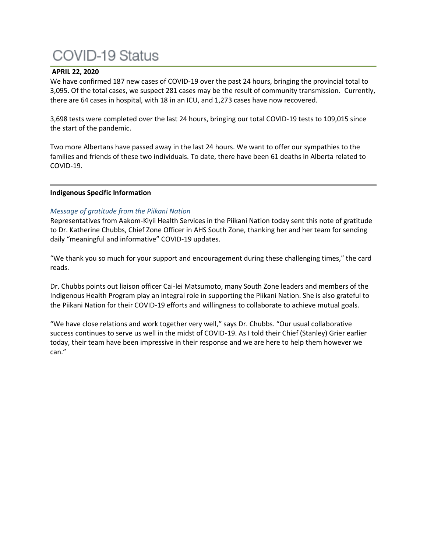## **COVID-19 Status**

### **APRIL 22, 2020**

We have confirmed 187 new cases of COVID-19 over the past 24 hours, bringing the provincial total to 3,095. Of the total cases, we suspect 281 cases may be the result of community transmission. Currently, there are 64 cases in hospital, with 18 in an ICU, and 1,273 cases have now recovered.

3,698 tests were completed over the last 24 hours, bringing our total COVID-19 tests to 109,015 since the start of the pandemic.

Two more Albertans have passed away in the last 24 hours. We want to offer our sympathies to the families and friends of these two individuals. To date, there have been 61 deaths in Alberta related to COVID-19.

### **Indigenous Specific Information**

### *Message of gratitude from the Piikani Nation*

Representatives from Aakom-Kiyii Health Services in the Piikani Nation today sent this note of gratitude to Dr. Katherine Chubbs, Chief Zone Officer in AHS South Zone, thanking her and her team for sending daily "meaningful and informative" COVID-19 updates.

"We thank you so much for your support and encouragement during these challenging times," the card reads.

Dr. Chubbs points out liaison officer Cai-lei Matsumoto, many South Zone leaders and members of the Indigenous Health Program play an integral role in supporting the Piikani Nation. She is also grateful to the Piikani Nation for their COVID-19 efforts and willingness to collaborate to achieve mutual goals.

"We have close relations and work together very well," says Dr. Chubbs. "Our usual collaborative success continues to serve us well in the midst of COVID-19. As I told their Chief (Stanley) Grier earlier today, their team have been impressive in their response and we are here to help them however we can."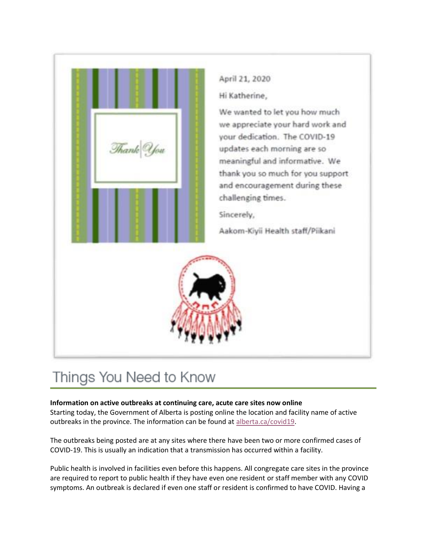

# Things You Need to Know

### **Information on active outbreaks at continuing care, acute care sites now online**

Starting today, the Government of Alberta is posting online the location and facility name of active outbreaks in the province. The information can be found at [alberta.ca/covid19.](http://www.alberta.ca/covid19)

The outbreaks being posted are at any sites where there have been two or more confirmed cases of COVID-19. This is usually an indication that a transmission has occurred within a facility.

Public health is involved in facilities even before this happens. All congregate care sites in the province are required to report to public health if they have even one resident or staff member with any COVID symptoms. An outbreak is declared if even one staff or resident is confirmed to have COVID. Having a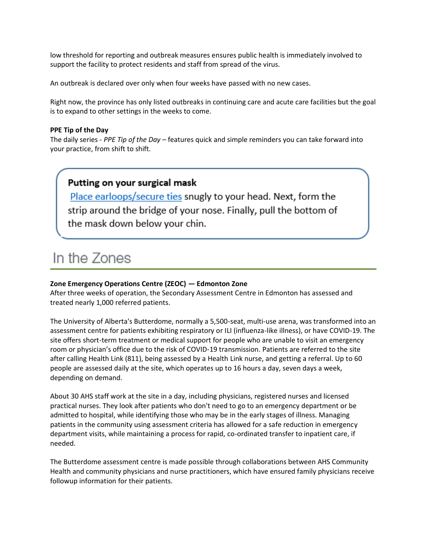low threshold for reporting and outbreak measures ensures public health is immediately involved to support the facility to protect residents and staff from spread of the virus.

An outbreak is declared over only when four weeks have passed with no new cases.

Right now, the province has only listed outbreaks in continuing care and acute care facilities but the goal is to expand to other settings in the weeks to come.

### **PPE Tip of the Day**

The daily series - *PPE Tip of the Day* – features quick and simple reminders you can take forward into your practice, from shift to shift.

### Putting on your surgical mask

Place earloops/secure ties snugly to your head. Next, form the strip around the bridge of your nose. Finally, pull the bottom of the mask down below your chin.

### In the Zones

### **Zone Emergency Operations Centre (ZEOC) — Edmonton Zone**

After three weeks of operation, the Secondary Assessment Centre in Edmonton has assessed and treated nearly 1,000 referred patients.

The University of Alberta's Butterdome, normally a 5,500-seat, multi-use arena, was transformed into an assessment centre for patients exhibiting respiratory or ILI (influenza-like illness), or have COVID-19. The site offers short-term treatment or medical support for people who are unable to visit an emergency room or physician's office due to the risk of COVID-19 transmission. Patients are referred to the site after calling Health Link (811), being assessed by a Health Link nurse, and getting a referral. Up to 60 people are assessed daily at the site, which operates up to 16 hours a day, seven days a week, depending on demand.

About 30 AHS staff work at the site in a day, including physicians, registered nurses and licensed practical nurses. They look after patients who don't need to go to an emergency department or be admitted to hospital, while identifying those who may be in the early stages of illness. Managing patients in the community using assessment criteria has allowed for a safe reduction in emergency department visits, while maintaining a process for rapid, co-ordinated transfer to inpatient care, if needed.

The Butterdome assessment centre is made possible through collaborations between AHS Community Health and community physicians and nurse practitioners, which have ensured family physicians receive followup information for their patients.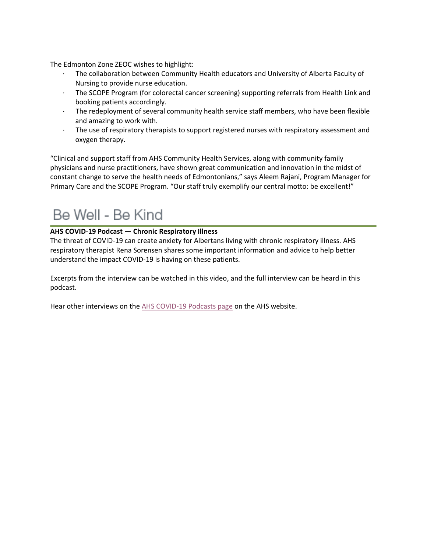The Edmonton Zone ZEOC wishes to highlight:

- · The collaboration between Community Health educators and University of Alberta Faculty of Nursing to provide nurse education.
- · The SCOPE Program (for colorectal cancer screening) supporting referrals from Health Link and booking patients accordingly.
- · The redeployment of several community health service staff members, who have been flexible and amazing to work with.
- · The use of respiratory therapists to support registered nurses with respiratory assessment and oxygen therapy.

"Clinical and support staff from AHS Community Health Services, along with community family physicians and nurse practitioners, have shown great communication and innovation in the midst of constant change to serve the health needs of Edmontonians," says Aleem Rajani, Program Manager for Primary Care and the SCOPE Program. "Our staff truly exemplify our central motto: be excellent!"

## Be Well - Be Kind

### **AHS COVID-19 Podcast — Chronic Respiratory Illness**

The threat of COVID-19 can create anxiety for Albertans living with chronic respiratory illness. AHS respiratory therapist Rena Sorensen shares some important information and advice to help better understand the impact COVID-19 is having on these patients.

Excerpts from the interview can be watched in this video, and the full interview can be heard in this podcast.

Hear other interviews on the [AHS COVID-19 Podcasts page](https://www.albertahealthservices.ca/news/Page15434.aspx) on the AHS website.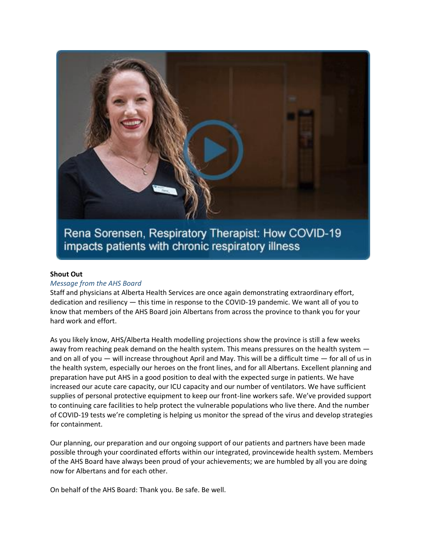

Rena Sorensen, Respiratory Therapist: How COVID-19 impacts patients with chronic respiratory illness

### **Shout Out**

### *Message from the AHS Board*

Staff and physicians at Alberta Health Services are once again demonstrating extraordinary effort, dedication and resiliency — this time in response to the COVID-19 pandemic. We want all of you to know that members of the AHS Board join Albertans from across the province to thank you for your hard work and effort.

As you likely know, AHS/Alberta Health modelling projections show the province is still a few weeks away from reaching peak demand on the health system. This means pressures on the health system  $$ and on all of you — will increase throughout April and May. This will be a difficult time — for all of us in the health system, especially our heroes on the front lines, and for all Albertans. Excellent planning and preparation have put AHS in a good position to deal with the expected surge in patients. We have increased our acute care capacity, our ICU capacity and our number of ventilators. We have sufficient supplies of personal protective equipment to keep our front-line workers safe. We've provided support to continuing care facilities to help protect the vulnerable populations who live there. And the number of COVID-19 tests we're completing is helping us monitor the spread of the virus and develop strategies for containment.

Our planning, our preparation and our ongoing support of our patients and partners have been made possible through your coordinated efforts within our integrated, provincewide health system. Members of the AHS Board have always been proud of your achievements; we are humbled by all you are doing now for Albertans and for each other.

On behalf of the AHS Board: Thank you. Be safe. Be well.